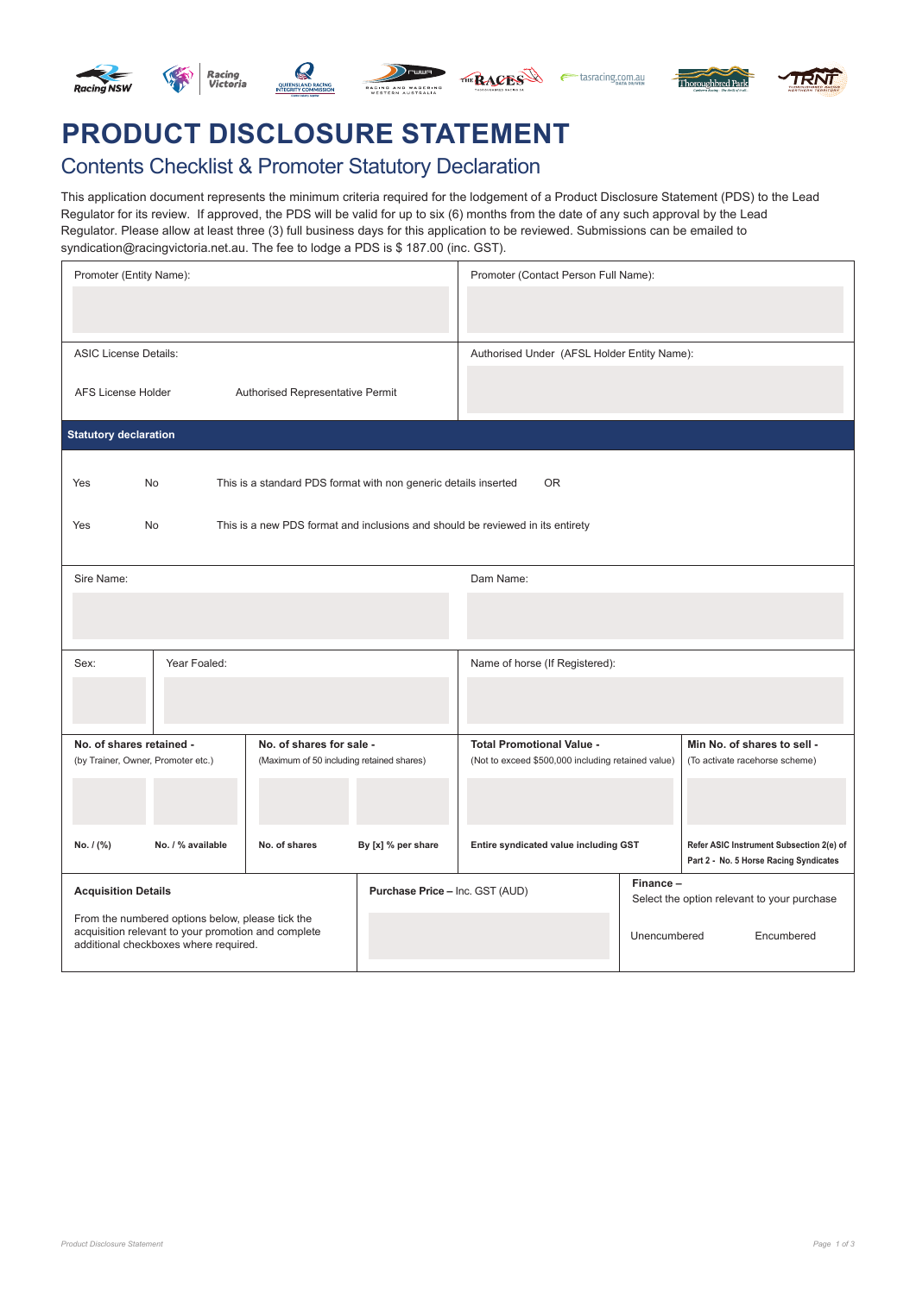

# **PRODUCT DISCLOSURE STATEMENT**

## Contents Checklist & Promoter Statutory Declaration

This application document represents the minimum criteria required for the lodgement of a Product Disclosure Statement (PDS) to the Lead Regulator for its review. If approved, the PDS will be valid for up to six (6) months from the date of any such approval by the Lead Regulator. Please allow at least three (3) full business days for this application to be reviewed. Submissions can be emailed to syndication@racingvictoria.net.au. The fee to lodge a PDS is \$ 187.00 (inc. GST).

| Promoter (Entity Name):                                                                                                                          |                                                                                |                                 | Promoter (Contact Person Full Name):                                                                                                                    |                                                         |                                                                                    |
|--------------------------------------------------------------------------------------------------------------------------------------------------|--------------------------------------------------------------------------------|---------------------------------|---------------------------------------------------------------------------------------------------------------------------------------------------------|---------------------------------------------------------|------------------------------------------------------------------------------------|
| <b>ASIC License Details:</b>                                                                                                                     |                                                                                |                                 | Authorised Under (AFSL Holder Entity Name):                                                                                                             |                                                         |                                                                                    |
| <b>AFS License Holder</b><br>Authorised Representative Permit                                                                                    |                                                                                |                                 |                                                                                                                                                         |                                                         |                                                                                    |
| <b>Statutory declaration</b>                                                                                                                     |                                                                                |                                 |                                                                                                                                                         |                                                         |                                                                                    |
| No<br>This is a standard PDS format with non generic details inserted<br><b>OR</b><br>Yes                                                        |                                                                                |                                 |                                                                                                                                                         |                                                         |                                                                                    |
| Yes<br>No                                                                                                                                        | This is a new PDS format and inclusions and should be reviewed in its entirety |                                 |                                                                                                                                                         |                                                         |                                                                                    |
| Sire Name:                                                                                                                                       |                                                                                |                                 | Dam Name:                                                                                                                                               |                                                         |                                                                                    |
|                                                                                                                                                  |                                                                                |                                 |                                                                                                                                                         |                                                         |                                                                                    |
| Year Foaled:<br>Sex:                                                                                                                             |                                                                                |                                 | Name of horse (If Registered):                                                                                                                          |                                                         |                                                                                    |
|                                                                                                                                                  |                                                                                |                                 |                                                                                                                                                         |                                                         |                                                                                    |
| No. of shares retained -<br>No. of shares for sale -<br>(by Trainer, Owner, Promoter etc.)<br>(Maximum of 50 including retained shares)          |                                                                                |                                 | Min No. of shares to sell -<br><b>Total Promotional Value -</b><br>(Not to exceed \$500,000 including retained value)<br>(To activate racehorse scheme) |                                                         |                                                                                    |
|                                                                                                                                                  |                                                                                |                                 |                                                                                                                                                         |                                                         |                                                                                    |
| No. / (%)<br>No. / % available                                                                                                                   | No. of shares                                                                  | By [x] % per share              | Entire syndicated value including GST                                                                                                                   |                                                         | Refer ASIC Instrument Subsection 2(e) of<br>Part 2 - No. 5 Horse Racing Syndicates |
| <b>Acquisition Details</b>                                                                                                                       |                                                                                | Purchase Price - Inc. GST (AUD) |                                                                                                                                                         | Finance-<br>Select the option relevant to your purchase |                                                                                    |
| From the numbered options below, please tick the<br>acquisition relevant to your promotion and complete<br>additional checkboxes where required. |                                                                                |                                 |                                                                                                                                                         | Unencumbered                                            | Encumbered                                                                         |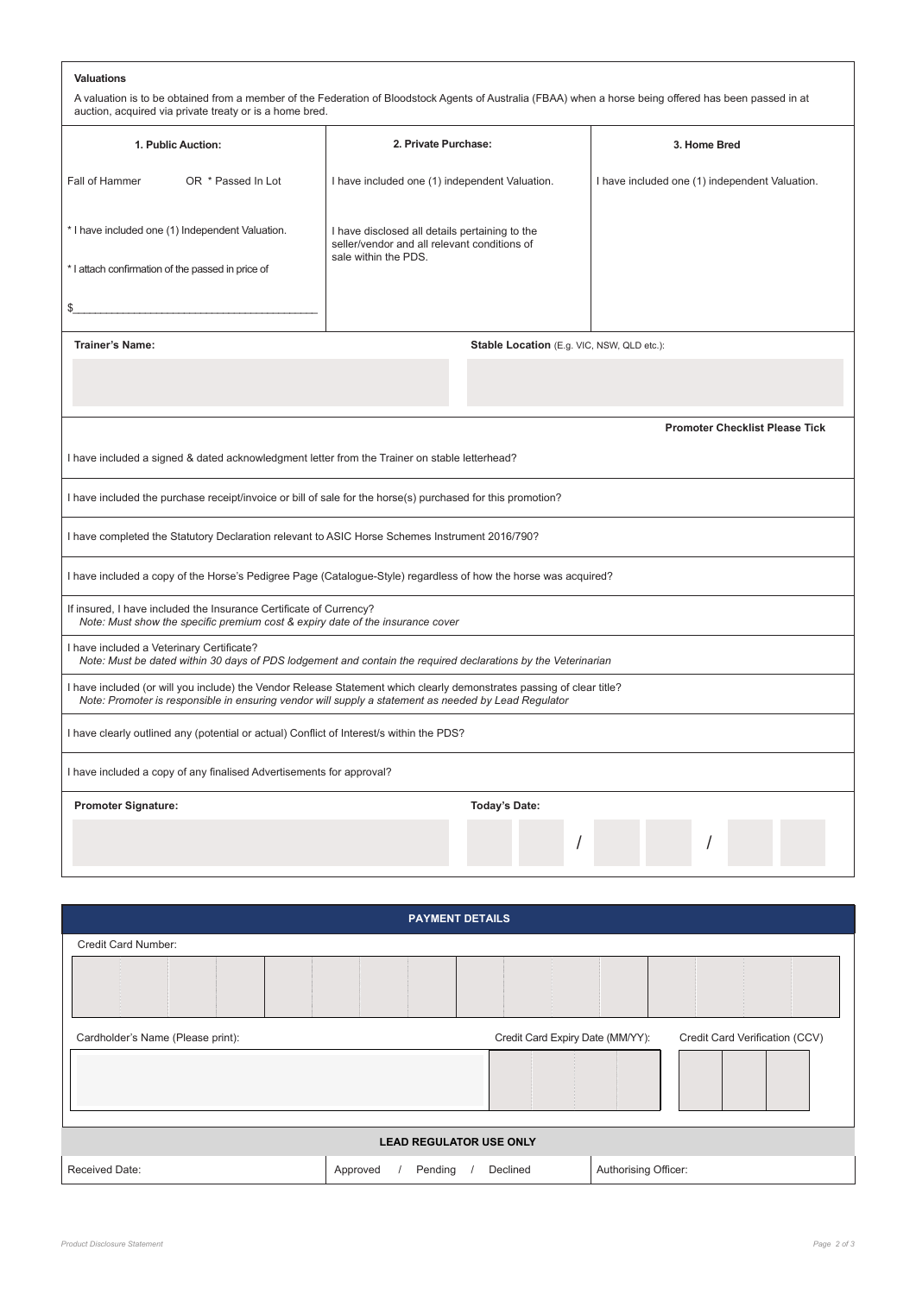#### **Valuations**

| A valuation is to be obtained from a member of the Federation of Bloodstock Agents of Australia (FBAA) when a horse being offered has been passed in at |
|---------------------------------------------------------------------------------------------------------------------------------------------------------|
| auction, acquired via private treaty or is a home bred.                                                                                                 |

| 1. Public Auction:                                                                                                                                                                                                            | 2. Private Purchase:                                                                           | 3. Home Bred                                   |  |  |  |  |
|-------------------------------------------------------------------------------------------------------------------------------------------------------------------------------------------------------------------------------|------------------------------------------------------------------------------------------------|------------------------------------------------|--|--|--|--|
| Fall of Hammer<br>OR * Passed In Lot                                                                                                                                                                                          | I have included one (1) independent Valuation.                                                 | I have included one (1) independent Valuation. |  |  |  |  |
| * I have included one (1) Independent Valuation.                                                                                                                                                                              | I have disclosed all details pertaining to the<br>seller/vendor and all relevant conditions of |                                                |  |  |  |  |
| * I attach confirmation of the passed in price of                                                                                                                                                                             | sale within the PDS.                                                                           |                                                |  |  |  |  |
| \$                                                                                                                                                                                                                            |                                                                                                |                                                |  |  |  |  |
| <b>Trainer's Name:</b>                                                                                                                                                                                                        | Stable Location (E.g. VIC, NSW, QLD etc.):                                                     |                                                |  |  |  |  |
|                                                                                                                                                                                                                               |                                                                                                |                                                |  |  |  |  |
|                                                                                                                                                                                                                               |                                                                                                | <b>Promoter Checklist Please Tick</b>          |  |  |  |  |
| I have included a signed & dated acknowledgment letter from the Trainer on stable letterhead?                                                                                                                                 |                                                                                                |                                                |  |  |  |  |
| I have included the purchase receipt/invoice or bill of sale for the horse(s) purchased for this promotion?                                                                                                                   |                                                                                                |                                                |  |  |  |  |
| I have completed the Statutory Declaration relevant to ASIC Horse Schemes Instrument 2016/790?                                                                                                                                |                                                                                                |                                                |  |  |  |  |
| I have included a copy of the Horse's Pedigree Page (Catalogue-Style) regardless of how the horse was acquired?                                                                                                               |                                                                                                |                                                |  |  |  |  |
| If insured, I have included the Insurance Certificate of Currency?<br>Note: Must show the specific premium cost & expiry date of the insurance cover                                                                          |                                                                                                |                                                |  |  |  |  |
| I have included a Veterinary Certificate?<br>Note: Must be dated within 30 days of PDS lodgement and contain the required declarations by the Veterinarian                                                                    |                                                                                                |                                                |  |  |  |  |
| I have included (or will you include) the Vendor Release Statement which clearly demonstrates passing of clear title?<br>Note: Promoter is responsible in ensuring vendor will supply a statement as needed by Lead Regulator |                                                                                                |                                                |  |  |  |  |
| I have clearly outlined any (potential or actual) Conflict of Interest/s within the PDS?                                                                                                                                      |                                                                                                |                                                |  |  |  |  |
| I have included a copy of any finalised Advertisements for approval?                                                                                                                                                          |                                                                                                |                                                |  |  |  |  |
| <b>Promoter Signature:</b>                                                                                                                                                                                                    | <b>Today's Date:</b>                                                                           |                                                |  |  |  |  |
|                                                                                                                                                                                                                               |                                                                                                |                                                |  |  |  |  |

| <b>PAYMENT DETAILS</b>            |                                |                                  |                      |                                |
|-----------------------------------|--------------------------------|----------------------------------|----------------------|--------------------------------|
| Credit Card Number:               |                                |                                  |                      |                                |
|                                   |                                |                                  |                      |                                |
| Cardholder's Name (Please print): |                                | Credit Card Expiry Date (MM/YY): |                      | Credit Card Verification (CCV) |
|                                   |                                |                                  |                      |                                |
|                                   | <b>LEAD REGULATOR USE ONLY</b> |                                  |                      |                                |
| Received Date:                    | Pending<br>Approved            | Declined                         | Authorising Officer: |                                |